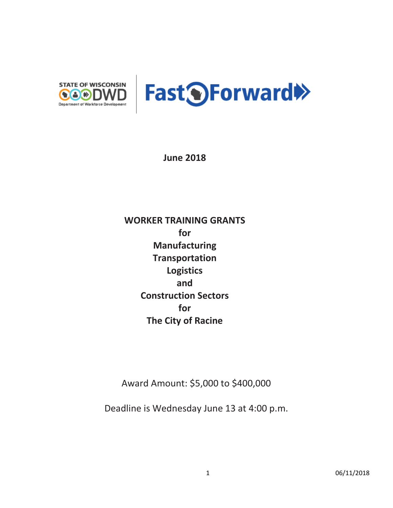

**June 2018**

**WORKER TRAINING GRANTS for Manufacturing Transportation Logistics and Construction Sectors for The City of Racine** 

Award Amount: \$5,000 to \$400,000

Deadline is Wednesday June 13 at 4:00 p.m.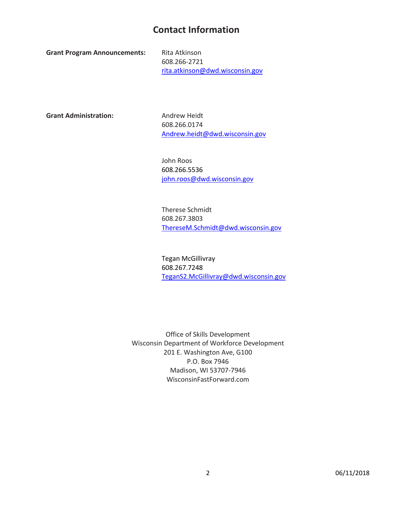## **Contact Information**

Grant Program Announcements: Rita Atkinson

608.266-2721 [rita.atkinson@dwd.wisconsin.gov](file://DWDCFS1/VOL1/DET/OSD/200%20-%20GPA%20Development/2016%20Quarter%204%20-%20Round%205%20GPAs/Manufacturing/david.karst@dwd.wisconsin.gov)

Grant Administration: Andrew Heidt

608.266.0174 [Andrew.heidt@dwd.wisconsin.gov](mailto:Andrew.heidt@dwd.wisconsin.gov)

John Roos 608.266.5536 [john.roos@dwd.wisconsin.gov](mailto:john.roos@dwd.wisconsin.gov)

Therese Schmidt 608.267.3803 [ThereseM.Schmidt@dwd.wisconsin.gov](mailto:ThereseM.Schmidt@dwd.wisconsin.gov) 

Tegan McGillivray 608.267.7248 [TeganS2.McGillivray@dwd.wisconsin.gov](mailto:TeganS2.McGillivray@dwd.wisconsin.gov) 

Office of Skills Development Wisconsin Department of Workforce Development 201 E. Washington Ave, G100 P.O. Box 7946 Madison, WI 53707-7946 WisconsinFastForward.com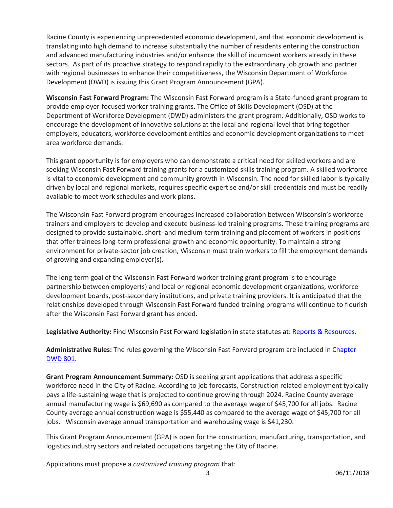Racine County is experiencing unprecedented economic development, and that economic development is translating into high demand to increase substantially the number of residents entering the construction and advanced manufacturing industries and/or enhance the skill of incumbent workers already in these sectors. As part of its proactive strategy to respond rapidly to the extraordinary job growth and partner with regional businesses to enhance their competitiveness, the Wisconsin Department of Workforce Development (DWD) is issuing this Grant Program Announcement (GPA).

**Wisconsin Fast Forward Program:** The Wisconsin Fast Forward program is a State-funded grant program to provide employer-focused worker training grants. The Office of Skills Development (OSD) at the Department of Workforce Development (DWD) administers the grant program. Additionally, OSD works to encourage the development of innovative solutions at the local and regional level that bring together employers, educators, workforce development entities and economic development organizations to meet area workforce demands.

This grant opportunity is for employers who can demonstrate a critical need for skilled workers and are seeking Wisconsin Fast Forward training grants for a customized skills training program. A skilled workforce is vital to economic development and community growth in Wisconsin. The need for skilled labor is typically driven by local and regional markets, requires specific expertise and/or skill credentials and must be readily available to meet work schedules and work plans.

The Wisconsin Fast Forward program encourages increased collaboration between Wisconsin's workforce trainers and employers to develop and execute business-led training programs. These training programs are designed to provide sustainable, short- and medium-term training and placement of workers in positions that offer trainees long-term professional growth and economic opportunity. To maintain a strong environment for private-sector job creation, Wisconsin must train workers to fill the employment demands of growing and expanding employer(s).

The long-term goal of the Wisconsin Fast Forward worker training grant program is to encourage partnership between employer(s) and local or regional economic development organizations, workforce development boards, post-secondary institutions, and private training providers. It is anticipated that the relationships developed through Wisconsin Fast Forward funded training programs will continue to flourish after the Wisconsin Fast Forward grant has ended.

**Legislative Authority:** Find Wisconsin Fast Forward legislation in state statutes at[: Reports & Resources.](http://www.wisconsinfastforward.com/reports.htm)

**Administrative Rules:** The rules governing the Wisconsin Fast Forward program are included in [Chapter](http://docs.legis.wisconsin.gov/code/admin_code/dwd/801/801)  [DWD 801.](http://docs.legis.wisconsin.gov/code/admin_code/dwd/801/801)

**Grant Program Announcement Summary:** OSD is seeking grant applications that address a specific workforce need in the City of Racine. According to job forecasts, Construction related employment typically pays a life-sustaining wage that is projected to continue growing through 2024. Racine County average annual manufacturing wage is \$69,690 as compared to the average wage of \$45,700 for all jobs. Racine County average annual construction wage is \$55,440 as compared to the average wage of \$45,700 for all jobs. Wisconsin average annual transportation and warehousing wage is \$41,230.

This Grant Program Announcement (GPA) is open for the construction, manufacturing, transportation, and logistics industry sectors and related occupations targeting the City of Racine.

Applications must propose a *customized training program* that: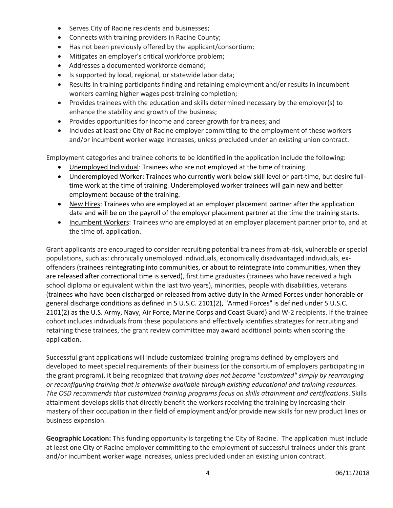- Serves City of Racine residents and businesses;
- Connects with training providers in Racine County;
- Has not been previously offered by the applicant/consortium;
- Mitigates an employer's critical workforce problem;
- Addresses a documented workforce demand;
- Is supported by local, regional, or statewide labor data;
- Results in training participants finding and retaining employment and/or results in incumbent workers earning higher wages post-training completion;
- Provides trainees with the education and skills determined necessary by the employer(s) to enhance the stability and growth of the business;
- Provides opportunities for income and career growth for trainees; and
- Includes at least one City of Racine employer committing to the employment of these workers and/or incumbent worker wage increases, unless precluded under an existing union contract.

Employment categories and trainee cohorts to be identified in the application include the following:

- Unemployed Individual: Trainees who are not employed at the time of training.
- Underemployed Worker: Trainees who currently work below skill level or part-time, but desire fulltime work at the time of training. Underemployed worker trainees will gain new and better employment because of the training.
- New Hires: Trainees who are employed at an employer placement partner after the application date and will be on the payroll of the employer placement partner at the time the training starts.
- Incumbent Workers: Trainees who are employed at an employer placement partner prior to, and at the time of, application.

Grant applicants are encouraged to consider recruiting potential trainees from at-risk, vulnerable or special populations, such as: chronically unemployed individuals, economically disadvantaged individuals, exoffenders (trainees reintegrating into communities, or about to reintegrate into communities, when they are released after correctional time is served), first time graduates (trainees who have received a high school diploma or equivalent within the last two years), minorities, people with disabilities, veterans (trainees who have been discharged or released from active duty in the Armed Forces under honorable or general discharge conditions as defined in 5 U.S.C. 2101(2), "Armed Forces" is defined under 5 U.S.C. 2101(2) as the U.S. Army, Navy, Air Force, Marine Corps and Coast Guard) and W-2 recipients. If the trainee cohort includes individuals from these populations and effectively identifies strategies for recruiting and retaining these trainees, the grant review committee may award additional points when scoring the application.

Successful grant applications will include customized training programs defined by employers and developed to meet special requirements of their business (or the consortium of employers participating in the grant program), it being recognized that *training does not become "customized" simply by rearranging or reconfiguring training that is otherwise available through existing educational and training resources. The OSD recommends that customized training programs focus on skills attainment and certifications*. Skills attainment develops skills that directly benefit the workers receiving the training by increasing their mastery of their occupation in their field of employment and/or provide new skills for new product lines or business expansion.

**Geographic Location:** This funding opportunity is targeting the City of Racine. The application must include at least one City of Racine employer committing to the employment of successful trainees under this grant and/or incumbent worker wage increases, unless precluded under an existing union contract.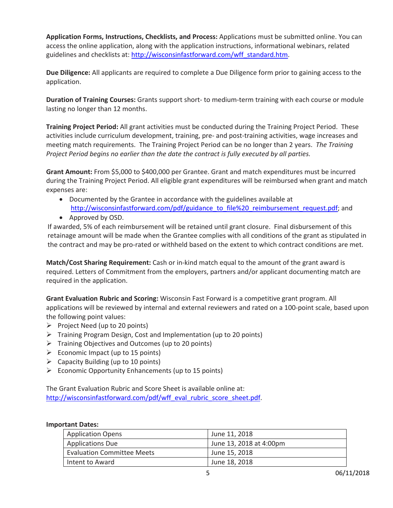**Application Forms, Instructions, Checklists, and Process:** Applications must be submitted online. You can access the online application, along with the application instructions, informational webinars, related guidelines and checklists at[: http://wisconsinfastforward.com/wff\\_standard.htm.](http://wisconsinfastforward.com/wff_standard.htm)

**Due Diligence:** All applicants are required to complete a Due Diligence form prior to gaining access to the application.

**Duration of Training Courses:** Grants support short- to medium-term training with each course or module lasting no longer than 12 months.

**Training Project Period:** All grant activities must be conducted during the Training Project Period. These activities include curriculum development, training, pre- and post-training activities, wage increases and meeting match requirements. The Training Project Period can be no longer than 2 years. *The Training Project Period begins no earlier than the date the contract is fully executed by all parties.* 

**Grant Amount:** From \$5,000 to \$400,000 per Grantee. Grant and match expenditures must be incurred during the Training Project Period. All eligible grant expenditures will be reimbursed when grant and match expenses are:

- Documented by the Grantee in accordance with the guidelines available at [http://wisconsinfastforward.com/pdf/guidance\\_to\\_file%20\\_reimbursement\\_request.pdf;](http://wisconsinfastforward.com/pdf/guidance_to_file%20_reimbursement_request.pdf) and
- Approved by OSD.

If awarded, 5% of each reimbursement will be retained until grant closure. Final disbursement of this retainage amount will be made when the Grantee complies with all conditions of the grant as stipulated in the contract and may be pro-rated or withheld based on the extent to which contract conditions are met.

**Match/Cost Sharing Requirement:** Cash or in-kind match equal to the amount of the grant award is required. Letters of Commitment from the employers, partners and/or applicant documenting match are required in the application.

**Grant Evaluation Rubric and Scoring:** Wisconsin Fast Forward is a competitive grant program. All applications will be reviewed by internal and external reviewers and rated on a 100-point scale, based upon the following point values:

- $\triangleright$  Project Need (up to 20 points)
- $\triangleright$  Training Program Design, Cost and Implementation (up to 20 points)
- $\triangleright$  Training Objectives and Outcomes (up to 20 points)
- $\triangleright$  Economic Impact (up to 15 points)
- $\triangleright$  Capacity Building (up to 10 points)
- $\triangleright$  Economic Opportunity Enhancements (up to 15 points)

The Grant Evaluation Rubric and Score Sheet is available online at: [http://wisconsinfastforward.com/pdf/wff\\_eval\\_rubric\\_score\\_sheet.pdf.](http://wisconsinfastforward.com/pdf/wff_eval_rubric_score_sheet.pdf)

## **Important Dates:**

| <b>Application Opens</b>          | June 11, 2018           |
|-----------------------------------|-------------------------|
| <b>Applications Due</b>           | June 13, 2018 at 4:00pm |
| <b>Evaluation Committee Meets</b> | June 15, 2018           |
| Intent to Award                   | June 18, 2018           |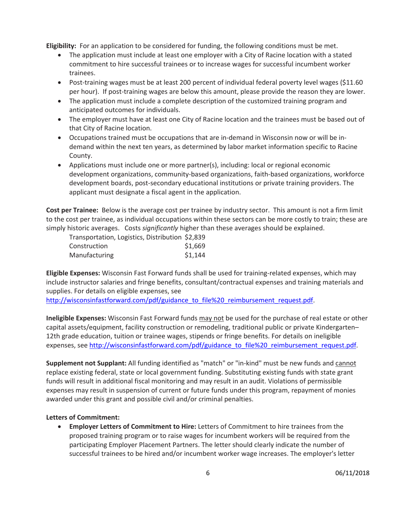**Eligibility:** For an application to be considered for funding, the following conditions must be met.

- The application must include at least one employer with a City of Racine location with a stated commitment to hire successful trainees or to increase wages for successful incumbent worker trainees.
- Post-training wages must be at least 200 percent of individual federal poverty level wages (\$11.60) per hour). If post-training wages are below this amount, please provide the reason they are lower.
- The application must include a complete description of the customized training program and anticipated outcomes for individuals.
- The employer must have at least one City of Racine location and the trainees must be based out of that City of Racine location.
- Occupations trained must be occupations that are in-demand in Wisconsin now or will be indemand within the next ten years, as determined by labor market information specific to Racine County.
- Applications must include one or more partner(s), including: local or regional economic development organizations, community-based organizations, faith-based organizations, workforce development boards, post-secondary educational institutions or private training providers. The applicant must designate a fiscal agent in the application.

**Cost per Trainee:** Below is the average cost per trainee by industry sector. This amount is not a firm limit to the cost per trainee, as individual occupations within these sectors can be more costly to train; these are simply historic averages. Costs *significantly* higher than these averages should be explained.

| Transportation, Logistics, Distribution \$2,839 |         |
|-------------------------------------------------|---------|
| Construction                                    | \$1,669 |
| Manufacturing                                   | \$1,144 |

**Eligible Expenses:** Wisconsin Fast Forward funds shall be used for training-related expenses, which may include instructor salaries and fringe benefits, consultant/contractual expenses and training materials and supplies. For details on eligible expenses, see

[http://wisconsinfastforward.com/pdf/guidance\\_to\\_file%20\\_reimbursement\\_request.pdf.](http://wisconsinfastforward.com/pdf/guidance_to_file%20_reimbursement_request.pdf)

**Ineligible Expenses:** Wisconsin Fast Forward funds may not be used for the purchase of real estate or other capital assets/equipment, facility construction or remodeling, traditional public or private Kindergarten– 12th grade education, tuition or trainee wages, stipends or fringe benefits. For details on ineligible expenses, see [http://wisconsinfastforward.com/pdf/guidance\\_to\\_file%20\\_reimbursement\\_request.pdf.](http://wisconsinfastforward.com/pdf/guidance_to_file%20_reimbursement_request.pdf)

**Supplement not Supplant:** All funding identified as "match" or "in-kind" must be new funds and cannot replace existing federal, state or local government funding. Substituting existing funds with state grant funds will result in additional fiscal monitoring and may result in an audit. Violations of permissible expenses may result in suspension of current or future funds under this program, repayment of monies awarded under this grant and possible civil and/or criminal penalties.

## **Letters of Commitment:**

• **Employer Letters of Commitment to Hire:** Letters of Commitment to hire trainees from the proposed training program or to raise wages for incumbent workers will be required from the participating Employer Placement Partners. The letter should clearly indicate the number of successful trainees to be hired and/or incumbent worker wage increases. The employer's letter